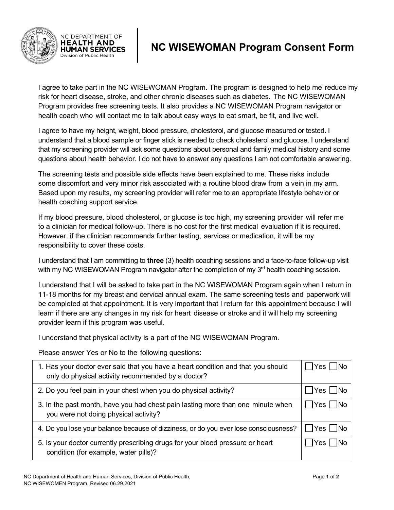

NC DEPARTMENT OF **HEALTH AND HUMAN SERVICES** Division of Public Health

## **NC WISEWOMAN Program Consent Form**

I agree to take part in the NC WISEWOMAN Program. The program is designed to help me reduce my risk for heart disease, stroke, and other chronic diseases such as diabetes. The NC WISEWOMAN Program provides free screening tests. It also provides a NC WISEWOMAN Program navigator or health coach who will contact me to talk about easy ways to eat smart, be fit, and live well.

I agree to have my height, weight, blood pressure, cholesterol, and glucose measured or tested. I understand that a blood sample or finger stick is needed to check cholesterol and glucose. I understand that my screening provider will ask some questions about personal and family medical history and some questions about health behavior. I do not have to answer any questions I am not comfortable answering.

The screening tests and possible side effects have been explained to me. These risks include some discomfort and very minor risk associated with a routine blood draw from a vein in my arm. Based upon my results, my screening provider will refer me to an appropriate lifestyle behavior or health coaching support service.

If my blood pressure, blood cholesterol, or glucose is too high, my screening provider will refer me to a clinician for medical follow-up. There is no cost for the first medical evaluation if it is required. However, if the clinician recommends further testing, services or medication, it will be my responsibility to cover these costs.

I understand that I am committing to **three** (3) health coaching sessions and a face-to-face follow-up visit with my NC WISEWOMAN Program navigator after the completion of my 3<sup>rd</sup> health coaching session.

I understand that I will be asked to take part in the NC WISEWOMAN Program again when I return in 11-18 months for my breast and cervical annual exam. The same screening tests and paperwork will be completed at that appointment. It is very important that I return for this appointment because I will learn if there are any changes in my risk for heart disease or stroke and it will help my screening provider learn if this program was useful.

I understand that physical activity is a part of the NC WISEWOMAN Program.

Please answer Yes or No to the following questions:

| 1. Has your doctor ever said that you have a heart condition and that you should<br>only do physical activity recommended by a doctor? | $\Box$ Yes $\Box$ No |
|----------------------------------------------------------------------------------------------------------------------------------------|----------------------|
| 2. Do you feel pain in your chest when you do physical activity?                                                                       | Yes    No            |
| 3. In the past month, have you had chest pain lasting more than one minute when<br>you were not doing physical activity?               | $\Box$ Yes $\Box$ No |
| 4. Do you lose your balance because of dizziness, or do you ever lose consciousness?                                                   | $\Box$ Yes $\Box$ No |
| 5. Is your doctor currently prescribing drugs for your blood pressure or heart<br>condition (for example, water pills)?                | IYes   INo           |